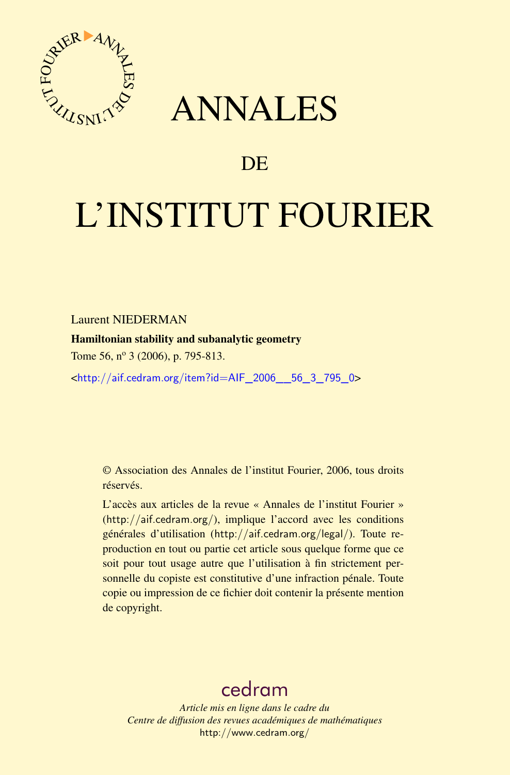

## ANNALES

### **DE**

# L'INSTITUT FOURIER

Laurent NIEDERMAN

#### Hamiltonian stability and subanalytic geometry

Tome 56, nº 3 (2006), p. 795-813.

<[http://aif.cedram.org/item?id=AIF\\_2006\\_\\_56\\_3\\_795\\_0](http://aif.cedram.org/item?id=AIF_2006__56_3_795_0)>

© Association des Annales de l'institut Fourier, 2006, tous droits réservés.

L'accès aux articles de la revue « Annales de l'institut Fourier » (<http://aif.cedram.org/>), implique l'accord avec les conditions générales d'utilisation (<http://aif.cedram.org/legal/>). Toute reproduction en tout ou partie cet article sous quelque forme que ce soit pour tout usage autre que l'utilisation à fin strictement personnelle du copiste est constitutive d'une infraction pénale. Toute copie ou impression de ce fichier doit contenir la présente mention de copyright.

## [cedram](http://www.cedram.org/)

*Article mis en ligne dans le cadre du Centre de diffusion des revues académiques de mathématiques* <http://www.cedram.org/>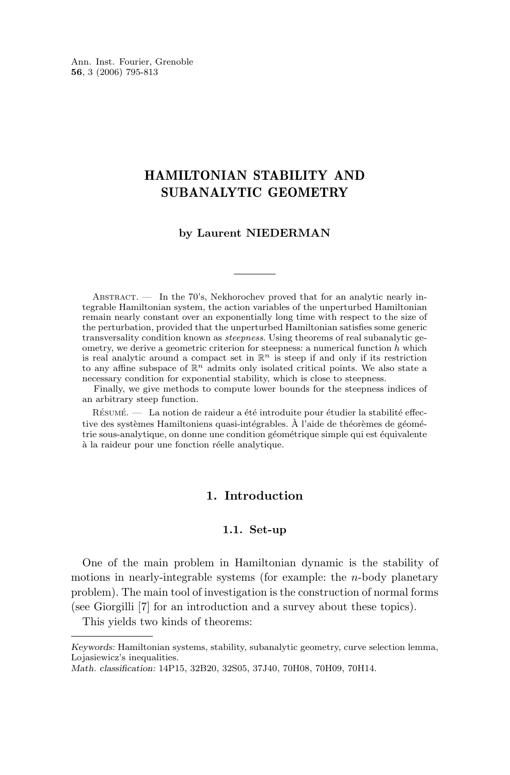Ann. Inst. Fourier, Grenoble **56**, 3 (2006) 795-813

#### HAMILTONIAN STABILITY AND SUBANALYTIC GEOMETRY

#### **by Laurent NIEDERMAN**

ABSTRACT.  $\frac{1}{2}$  In the 70's, Nekhorochev proved that for an analytic nearly integrable Hamiltonian system, the action variables of the unperturbed Hamiltonian remain nearly constant over an exponentially long time with respect to the size of the perturbation, provided that the unperturbed Hamiltonian satisfies some generic transversality condition known as *steepness*. Using theorems of real subanalytic geometry, we derive a geometric criterion for steepness: a numerical function  $h$  which is real analytic around a compact set in  $\mathbb{R}^n$  is steep if and only if its restriction to any affine subspace of  $\mathbb{R}^n$  admits only isolated critical points. We also state a necessary condition for exponential stability, which is close to steepness.

Finally, we give methods to compute lower bounds for the steepness indices of an arbitrary steep function.

Résumé. — La notion de raideur a été introduite pour étudier la stabilité effective des systèmes Hamiltoniens quasi-intégrables. À l'aide de théorèmes de géométrie sous-analytique, on donne une condition géométrique simple qui est équivalente à la raideur pour une fonction réelle analytique.

#### **1. Introduction**

#### **1.1. Set-up**

One of the main problem in Hamiltonian dynamic is the stability of motions in nearly-integrable systems (for example: the *n*-body planetary problem). The main tool of investigation is the construction of normal forms (see Giorgilli [\[7\]](#page-18-0) for an introduction and a survey about these topics).

This yields two kinds of theorems:

*Keywords:* Hamiltonian systems, stability, subanalytic geometry, curve selection lemma, Lojasiewicz's inequalities.

*Math. classification:* 14P15, 32B20, 32S05, 37J40, 70H08, 70H09, 70H14.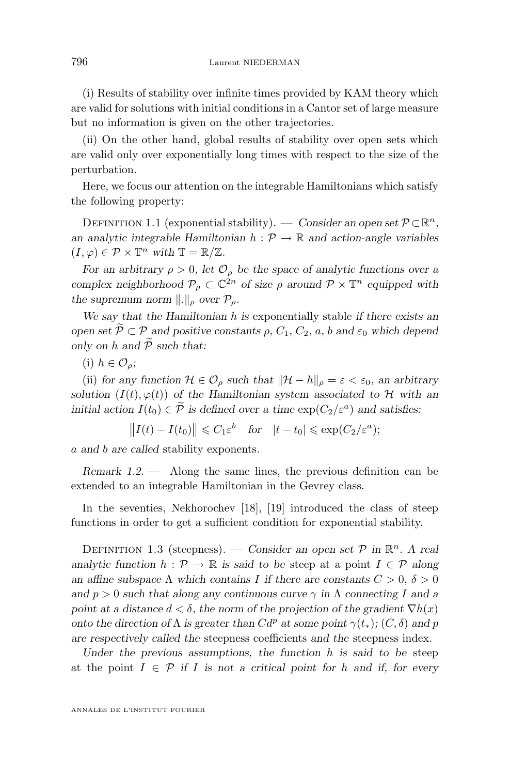<span id="page-2-0"></span>(i) Results of stability over infinite times provided by KAM theory which are valid for solutions with initial conditions in a Cantor set of large measure but no information is given on the other trajectories.

(ii) On the other hand, global results of stability over open sets which are valid only over exponentially long times with respect to the size of the perturbation.

Here, we focus our attention on the integrable Hamiltonians which satisfy the following property:

DEFINITION 1.1 (exponential stability). — *Consider an open set*  $P \subset \mathbb{R}^n$ , *an analytic integrable Hamiltonian*  $h : \mathcal{P} \to \mathbb{R}$  *and action-angle variables*  $(I, \varphi) \in \mathcal{P} \times \mathbb{T}^n$  with  $\mathbb{T} = \mathbb{R}/\mathbb{Z}$ .

*For an arbitrary*  $\rho > 0$ *, let*  $\mathcal{O}_{\rho}$  *be the space of analytic functions over a complex neighborhood*  $P_{\rho} \subset \mathbb{C}^{2n}$  *of size*  $\rho$  *around*  $P \times \mathbb{T}^{n}$  *equipped with the supremum norm*  $\Vert . \Vert_{\rho}$  *over*  $\mathcal{P}_{\rho}$ *.* 

*We say that the Hamiltonian* h *is* exponentially stable *if there exists an open set*  $\widetilde{\mathcal{P}} \subset \mathcal{P}$  *and positive constants*  $\rho$ ,  $C_1$ ,  $C_2$ ,  $a$ ,  $b$  *and*  $\varepsilon_0$  *which depend only on*  $h$  *and*  $\widetilde{P}$  *such that:* 

(i)  $h \in \mathcal{O}_\rho$ ;

(ii) *for any function*  $\mathcal{H} \in \mathcal{O}_\rho$  *such that*  $\|\mathcal{H} - h\|_\rho = \varepsilon < \varepsilon_0$ *, an arbitrary solution*  $(I(t), \varphi(t))$  *of the Hamiltonian system associated to* H *with an initial action*  $I(t_0) \in \mathcal{P}$  *is defined over a time*  $\exp(C_2/\varepsilon^a)$  *and satisfies:* 

 $||I(t) - I(t_0)|| \leq C_1 \varepsilon^b$  for  $|t - t_0| \leq \exp(C_2/\varepsilon^a);$ 

a *and* b *are called* stability exponents*.*

*Remark 1.2. —* Along the same lines, the previous definition can be extended to an integrable Hamiltonian in the Gevrey class.

In the seventies, Nekhorochev [\[18\]](#page-18-0), [\[19\]](#page-18-0) introduced the class of steep functions in order to get a sufficient condition for exponential stability.

DEFINITION 1.3 (steepness). — *Consider an open set*  $P$  *in*  $\mathbb{R}^n$ *.* A real *analytic function*  $h : \mathcal{P} \to \mathbb{R}$  *is said to be steep at a point*  $I \in \mathcal{P}$  *along an affine subspace*  $\Lambda$  *which contains*  $I$  *if there are constants*  $C > 0$ ,  $\delta > 0$ *and*  $p > 0$  *such that along any continuous curve*  $\gamma$  *in*  $\Lambda$  *connecting* I *and a point at a distance*  $d < \delta$ , the norm of the projection of the gradient  $\nabla h(x)$ *onto the direction of*  $\Lambda$  *is greater than*  $Cd^p$  *at some point*  $\gamma(t_*)$ *;*  $(C, \delta)$  *and* p *are respectively called the* steepness coefficients *and the* steepness index*.*

*Under the previous assumptions, the function* h *is said to be* steep at the point  $I \in \mathcal{P}$  if I is not a critical point for h and if, for every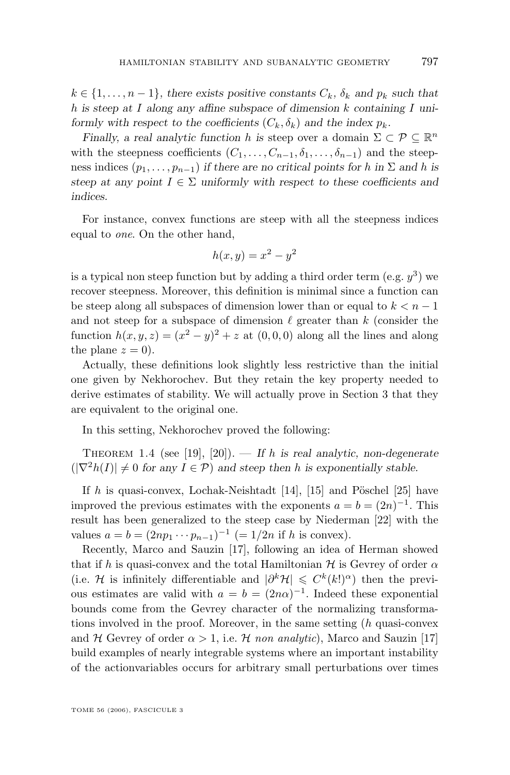$k \in \{1, \ldots, n-1\}$ , there exists positive constants  $C_k$ ,  $\delta_k$  and  $p_k$  such that h *is steep at* I *along any affine subspace of dimension* k *containing* I *uniformly with respect to the coefficients*  $(C_k, \delta_k)$  *and the index*  $p_k$ *.* 

*Finally, a real analytic function* h is steep over a domain  $\Sigma \subset \mathcal{P} \subseteq \mathbb{R}^n$ with the steepness coefficients  $(C_1, \ldots, C_{n-1}, \delta_1, \ldots, \delta_{n-1})$  and the steepness indices  $(p_1, \ldots, p_{n-1})$  *if there are no critical points for* h *in*  $\Sigma$  *and* h *is steep at any point*  $I \in \Sigma$  *uniformly with respect to these coefficients and indices.*

For instance, convex functions are steep with all the steepness indices equal to *one*. On the other hand,

$$
h(x, y) = x^2 - y^2
$$

is a typical non steep function but by adding a third order term (e.g.  $y^3$ ) we recover steepness. Moreover, this definition is minimal since a function can be steep along all subspaces of dimension lower than or equal to  $k < n - 1$ and not steep for a subspace of dimension  $\ell$  greater than k (consider the function  $h(x, y, z) = (x^2 - y)^2 + z$  at  $(0, 0, 0)$  along all the lines and along the plane  $z = 0$ ).

Actually, these definitions look slightly less restrictive than the initial one given by Nekhorochev. But they retain the key property needed to derive estimates of stability. We will actually prove in Section [3](#page-11-0) that they are equivalent to the original one.

In this setting, Nekhorochev proved the following:

THEOREM 1.4 (see [\[19\]](#page-18-0), [\[20\]](#page-18-0)). — If h is real analytic, non-degenerate  $(|\nabla^2 h(I)| \neq 0$  for any  $I \in \mathcal{P}$ ) and steep then h is exponentially stable.

If  $h$  is quasi-convex, Lochak-Neishtadt [\[14\]](#page-18-0), [\[15\]](#page-18-0) and Pöschel [\[25\]](#page-19-0) have improved the previous estimates with the exponents  $a = b = (2n)^{-1}$ . This result has been generalized to the steep case by Niederman [\[22\]](#page-19-0) with the values  $a = b = (2np_1 \cdots p_{n-1})^{-1} (= 1/2n \text{ if } h \text{ is convex}).$ 

Recently, Marco and Sauzin [\[17\]](#page-18-0), following an idea of Herman showed that if h is quasi-convex and the total Hamiltonian  $\mathcal H$  is Gevrey of order  $\alpha$ (i.e. H is infinitely differentiable and  $|\partial^k \mathcal{H}| \leq C^k(k!)^{\alpha}$ ) then the previous estimates are valid with  $a = b = (2n\alpha)^{-1}$ . Indeed these exponential bounds come from the Gevrey character of the normalizing transformations involved in the proof. Moreover, in the same setting (h quasi-convex and H Gevrey of order  $\alpha > 1$ , i.e. H *non analytic*), Marco and Sauzin [\[17\]](#page-18-0) build examples of nearly integrable systems where an important instability of the actionvariables occurs for arbitrary small perturbations over times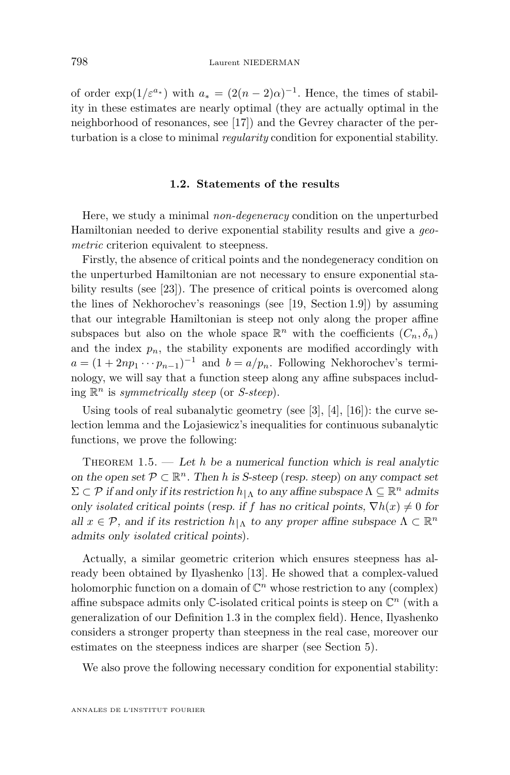<span id="page-4-0"></span>of order  $\exp(1/\varepsilon^{a_*})$  with  $a_* = (2(n-2)\alpha)^{-1}$ . Hence, the times of stability in these estimates are nearly optimal (they are actually optimal in the neighborhood of resonances, see [\[17\]](#page-18-0)) and the Gevrey character of the perturbation is a close to minimal *regularity* condition for exponential stability.

#### **1.2. Statements of the results**

Here, we study a minimal *non-degeneracy* condition on the unperturbed Hamiltonian needed to derive exponential stability results and give a *geometric* criterion equivalent to steepness.

Firstly, the absence of critical points and the nondegeneracy condition on the unperturbed Hamiltonian are not necessary to ensure exponential stability results (see [\[23\]](#page-19-0)). The presence of critical points is overcomed along the lines of Nekhorochev's reasonings (see [\[19,](#page-18-0) Section 1.9]) by assuming that our integrable Hamiltonian is steep not only along the proper affine subspaces but also on the whole space  $\mathbb{R}^n$  with the coefficients  $(C_n, \delta_n)$ and the index  $p_n$ , the stability exponents are modified accordingly with  $a = (1 + 2np_1 \cdots p_{n-1})^{-1}$  and  $b = a/p_n$ . Following Nekhorochev's terminology, we will say that a function steep along any affine subspaces including R <sup>n</sup> is *symmetrically steep* (or *S-steep*).

Using tools of real subanalytic geometry (see [\[3\]](#page-18-0), [\[4\]](#page-18-0), [\[16\]](#page-18-0)): the curve selection lemma and the Lojasiewicz's inequalities for continuous subanalytic functions, we prove the following:

Theorem 1.5. — *Let* h *be a numerical function which is real analytic on the open set*  $P \subset \mathbb{R}^n$ . Then *h* is *S*-steep (*resp. steep*) *on any compact set*  $\Sigma \subset \mathcal{P}$  *if and only if its restriction*  $h|_{\Lambda}$  *to any affine subspace*  $\Lambda \subseteq \mathbb{R}^n$  *admits only isolated critical points* (*resp. if* f has no critical points,  $\nabla h(x) \neq 0$  for *all*  $x \in \mathcal{P}$ , and if its restriction  $h|_{\Lambda}$  to any proper affine subspace  $\Lambda \subset \mathbb{R}^n$ *admits only isolated critical points*)*.*

Actually, a similar geometric criterion which ensures steepness has already been obtained by Ilyashenko [\[13\]](#page-18-0). He showed that a complex-valued holomorphic function on a domain of  $\mathbb{C}^n$  whose restriction to any (complex) affine subspace admits only  $\mathbb C$ -isolated critical points is steep on  $\mathbb C^n$  (with a generalization of our Definition [1.3](#page-2-0) in the complex field). Hence, Ilyashenko considers a stronger property than steepness in the real case, moreover our estimates on the steepness indices are sharper (see Section [5\)](#page-14-0).

We also prove the following necessary condition for exponential stability: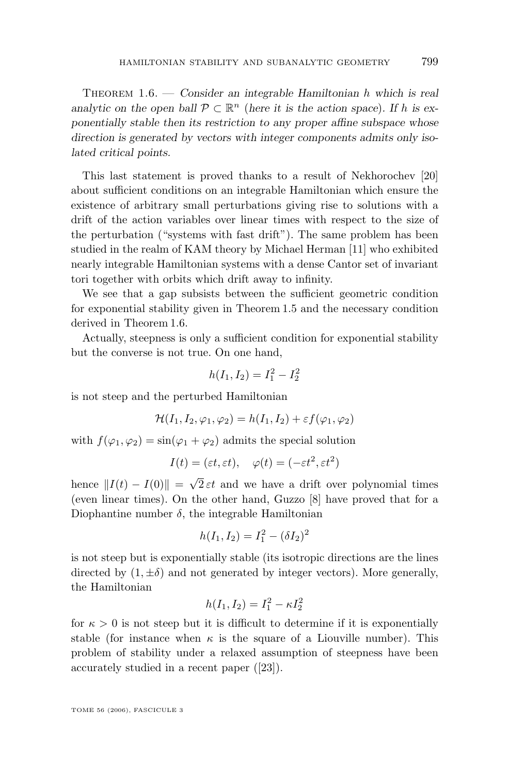Theorem 1.6. — *Consider an integrable Hamiltonian* h *which is real analytic on the open ball*  $P \subset \mathbb{R}^n$  (*here it is the action space*)*. If* h *is exponentially stable then its restriction to any proper affine subspace whose direction is generated by vectors with integer components admits only isolated critical points.*

This last statement is proved thanks to a result of Nekhorochev [\[20\]](#page-18-0) about sufficient conditions on an integrable Hamiltonian which ensure the existence of arbitrary small perturbations giving rise to solutions with a drift of the action variables over linear times with respect to the size of the perturbation ("systems with fast drift"). The same problem has been studied in the realm of KAM theory by Michael Herman [\[11\]](#page-18-0) who exhibited nearly integrable Hamiltonian systems with a dense Cantor set of invariant tori together with orbits which drift away to infinity.

We see that a gap subsists between the sufficient geometric condition for exponential stability given in Theorem [1.5](#page-4-0) and the necessary condition derived in Theorem [1.6.](#page-4-0)

Actually, steepness is only a sufficient condition for exponential stability but the converse is not true. On one hand,

$$
h(I_1, I_2) = I_1^2 - I_2^2
$$

is not steep and the perturbed Hamiltonian

$$
\mathcal{H}(I_1, I_2, \varphi_1, \varphi_2) = h(I_1, I_2) + \varepsilon f(\varphi_1, \varphi_2)
$$

with  $f(\varphi_1, \varphi_2) = \sin(\varphi_1 + \varphi_2)$  admits the special solution

$$
I(t) = (\varepsilon t, \varepsilon t), \quad \varphi(t) = (-\varepsilon t^2, \varepsilon t^2)
$$

hence  $||I(t) - I(0)||$  = √  $2 \varepsilon t$  and we have a drift over polynomial times (even linear times). On the other hand, Guzzo [\[8\]](#page-18-0) have proved that for a Diophantine number  $\delta$ , the integrable Hamiltonian

$$
h(I_1, I_2) = I_1^2 - (\delta I_2)^2
$$

is not steep but is exponentially stable (its isotropic directions are the lines directed by  $(1, \pm \delta)$  and not generated by integer vectors). More generally, the Hamiltonian

$$
h(I_1, I_2) = I_1^2 - \kappa I_2^2
$$

for  $\kappa > 0$  is not steep but it is difficult to determine if it is exponentially stable (for instance when  $\kappa$  is the square of a Liouville number). This problem of stability under a relaxed assumption of steepness have been accurately studied in a recent paper ([\[23\]](#page-19-0)).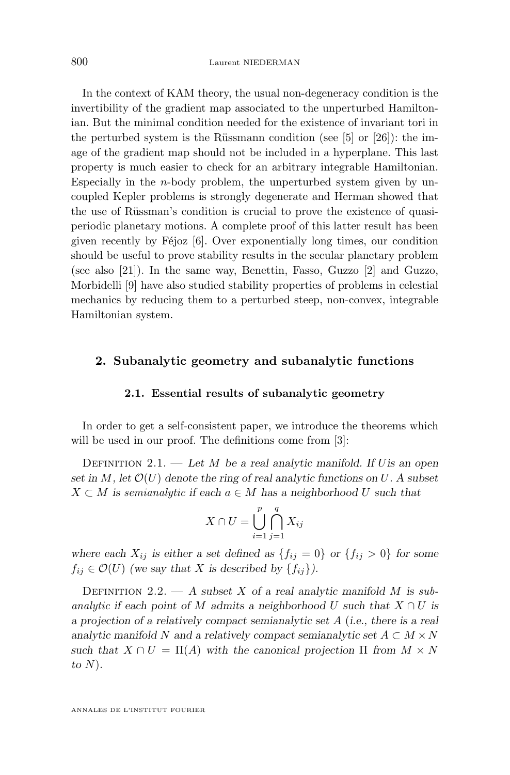In the context of KAM theory, the usual non-degeneracy condition is the invertibility of the gradient map associated to the unperturbed Hamiltonian. But the minimal condition needed for the existence of invariant tori in the perturbed system is the Rüssmann condition (see [\[5\]](#page-18-0) or [\[26\]](#page-19-0)): the image of the gradient map should not be included in a hyperplane. This last property is much easier to check for an arbitrary integrable Hamiltonian. Especially in the  $n$ -body problem, the unperturbed system given by uncoupled Kepler problems is strongly degenerate and Herman showed that the use of Rüssman's condition is crucial to prove the existence of quasiperiodic planetary motions. A complete proof of this latter result has been given recently by Féjoz [\[6\]](#page-18-0). Over exponentially long times, our condition should be useful to prove stability results in the secular planetary problem (see also [\[21\]](#page-19-0)). In the same way, Benettin, Fasso, Guzzo [\[2\]](#page-18-0) and Guzzo, Morbidelli [\[9\]](#page-18-0) have also studied stability properties of problems in celestial mechanics by reducing them to a perturbed steep, non-convex, integrable Hamiltonian system.

#### **2. Subanalytic geometry and subanalytic functions**

#### **2.1. Essential results of subanalytic geometry**

In order to get a self-consistent paper, we introduce the theorems which will be used in our proof. The definitions come from [\[3\]](#page-18-0):

Definition 2.1. — *Let* M *be a real analytic manifold. If* U*is an open set in*  $M$ , let  $\mathcal{O}(U)$  denote the ring of real analytic functions on U. A subset  $X \subset M$  *is semianalytic* if each  $a \in M$  has a neighborhood U such that

$$
X \cap U = \bigcup_{i=1}^{p} \bigcap_{j=1}^{q} X_{ij}
$$

where each  $X_{ij}$  *is either a set defined as*  $\{f_{ij} = 0\}$  *or*  $\{f_{ij} > 0\}$  *for some*  $f_{ij} \in \mathcal{O}(U)$  (we say that X is described by  $\{f_{ij}\}\$ ).

DEFINITION 2.2.  $- A$  *subset* X of a real analytic manifold M is *subanalytic* if each point of M admits a neighborhood U such that  $X \cap U$  is *a projection of a relatively compact semianalytic set* A (*i.e., there is a real* analytic manifold N and a relatively compact semianalytic set  $A \subset M \times N$ *such that*  $X \cap U = \Pi(A)$  *with the canonical projection*  $\Pi$  *from*  $M \times N$ *to* N)*.*

ANNALES DE L'INSTITUT FOURIER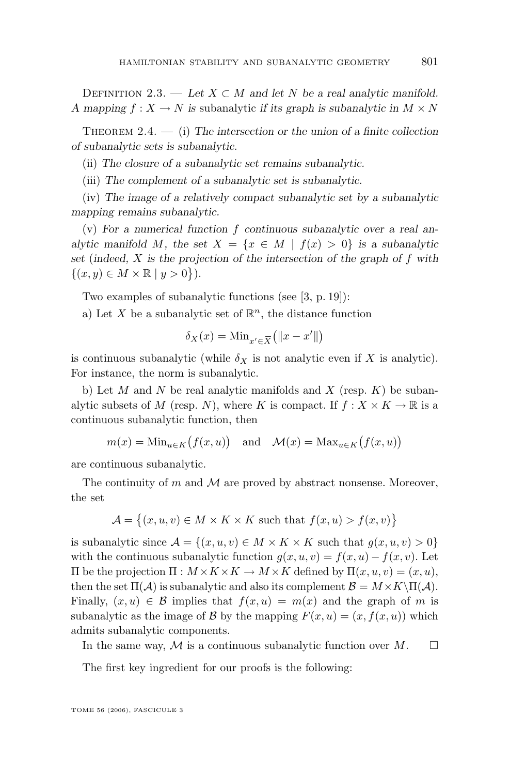<span id="page-7-0"></span>DEFINITION 2.3. — Let  $X \subset M$  and let N be a real analytic manifold. *A* mapping  $f: X \to N$  is subanalytic *if its graph is subanalytic in*  $M \times N$ 

THEOREM 2.4. — (i) The intersection or the union of a finite collection *of subanalytic sets is subanalytic.*

(ii) *The closure of a subanalytic set remains subanalytic.*

(iii) *The complement of a subanalytic set is subanalytic.*

(iv) *The image of a relatively compact subanalytic set by a subanalytic mapping remains subanalytic.*

(v) *For a numerical function* f *continuous subanalytic over a real analytic manifold* M, the set  $X = \{x \in M \mid f(x) > 0\}$  *is a subanalytic set* (*indeed,* X *is the projection of the intersection of the graph of* f *with*  $\{(x, y) \in M \times \mathbb{R} \mid y > 0\}).$ 

Two examples of subanalytic functions (see [\[3,](#page-18-0) p. 19]):

a) Let X be a subanalytic set of  $\mathbb{R}^n$ , the distance function

$$
\delta_X(x) = \text{Min}_{x' \in \overline{X}} \big( \|x - x'\|\big)
$$

is continuous subanalytic (while  $\delta_X$  is not analytic even if X is analytic). For instance, the norm is subanalytic.

b) Let M and N be real analytic manifolds and X (resp.  $K$ ) be subanalytic subsets of M (resp. N), where K is compact. If  $f: X \times K \to \mathbb{R}$  is a continuous subanalytic function, then

$$
m(x) = \text{Min}_{u \in K}(f(x, u))
$$
 and  $\mathcal{M}(x) = \text{Max}_{u \in K}(f(x, u))$ 

are continuous subanalytic.

The continuity of  $m$  and  $M$  are proved by abstract nonsense. Moreover, the set

$$
\mathcal{A} = \{(x, u, v) \in M \times K \times K \text{ such that } f(x, u) > f(x, v)\}\
$$

is subanalytic since  $\mathcal{A} = \{(x, u, v) \in M \times K \times K \text{ such that } g(x, u, v) > 0\}$ with the continuous subanalytic function  $g(x, u, v) = f(x, u) - f(x, v)$ . Let  $\Pi$  be the projection  $\Pi$  :  $M \times K \times K$  →  $M \times K$  defined by  $\Pi(x, u, v) = (x, u)$ , then the set  $\Pi(\mathcal{A})$  is subanalytic and also its complement  $\mathcal{B} = M \times K \setminus \Pi(\mathcal{A})$ . Finally,  $(x, u) \in \mathcal{B}$  implies that  $f(x, u) = m(x)$  and the graph of m is subanalytic as the image of B by the mapping  $F(x, u) = (x, f(x, u))$  which admits subanalytic components.

In the same way, M is a continuous subanalytic function over  $M$ .  $\Box$ 

The first key ingredient for our proofs is the following: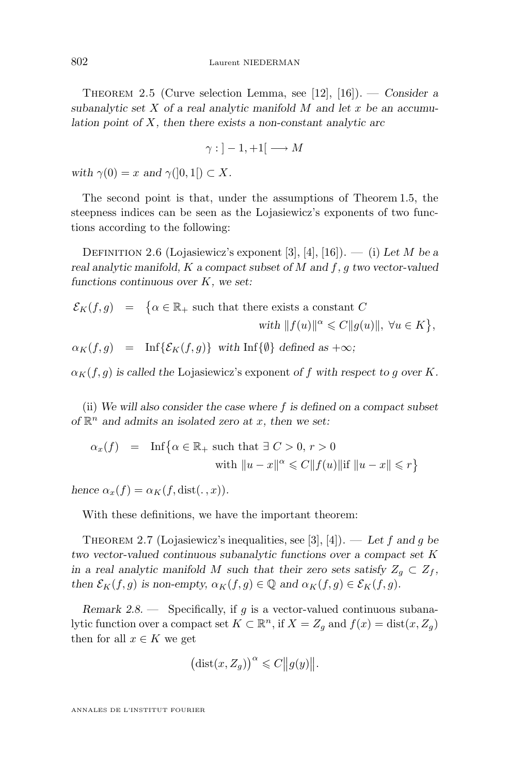Theorem 2.5 (Curve selection Lemma, see [\[12\]](#page-18-0), [\[16\]](#page-18-0)). — *Consider a subanalytic set* X *of a real analytic manifold* M *and let* x *be an accumulation point of* X*, then there exists a non-constant analytic arc*

$$
\gamma : ]-1,+1[ \longrightarrow M
$$

*with*  $\gamma(0) = x$  *and*  $\gamma([0,1]) \subset X$ .

The second point is that, under the assumptions of Theorem [1.5,](#page-4-0) the steepness indices can be seen as the Lojasiewicz's exponents of two functions according to the following:

Definition 2.6 (Lojasiewicz's exponent [\[3\]](#page-18-0), [\[4\]](#page-18-0), [\[16\]](#page-18-0)). — (i) *Let* M *be a real analytic manifold,* K *a compact subset of* M *and* f*,* g *two vector-valued functions continuous over* K*, we set:*

$$
\mathcal{E}_K(f,g) \quad = \quad \big\{\alpha \in \mathbb{R}_+ \text{ such that there exists a constant } C \qquad \qquad \text{with } \|f(u)\|^\alpha \leqslant C \|g(u)\|, \ \forall u \in K \big\},
$$

 $\alpha_K(f, q) = \inf \{ \mathcal{E}_K(f, q) \}$  *with* Inf $\{ \emptyset \}$  *defined as* + $\infty$ *;* 

 $\alpha_K(f, g)$  *is called the Lojasiewicz's exponent of* f *with respect to g over* K.

(ii) *We will also consider the case where* f *is defined on a compact subset of* R <sup>n</sup> *and admits an isolated zero at* x*, then we set:*

$$
\alpha_x(f) = \text{Inf}\{\alpha \in \mathbb{R}_+ \text{ such that } \exists C > 0, r > 0
$$
  
with  $||u - x||^{\alpha} \leq C ||f(u)|| \text{ if } ||u - x|| \leq r\}$ 

*hence*  $\alpha_r(f) = \alpha_K(f, dist(\cdot, x)).$ 

With these definitions, we have the important theorem:

THEOREM 2.7 (Lojasiewicz's inequalities, see [\[3\]](#page-18-0), [\[4\]](#page-18-0)). — Let f and g be *two vector-valued continuous subanalytic functions over a compact set* K *in a real analytic manifold* M *such that their zero sets satisfy*  $Z_q \n\subset Z_f$ , *then*  $\mathcal{E}_K(f,g)$  *is non-empty,*  $\alpha_K(f,g) \in \mathbb{Q}$  *and*  $\alpha_K(f,g) \in \mathcal{E}_K(f,g)$ *.* 

*Remark 2.8.* — Specifically, if g is a vector-valued continuous subanalytic function over a compact set  $K \subset \mathbb{R}^n$ , if  $X = Z_g$  and  $f(x) = \text{dist}(x, Z_g)$ then for all  $x \in K$  we get

$$
\big(\mathrm{dist}(x, Z_g)\big)^\alpha \leqslant C \|g(y)\|.
$$

ANNALES DE L'INSTITUT FOURIER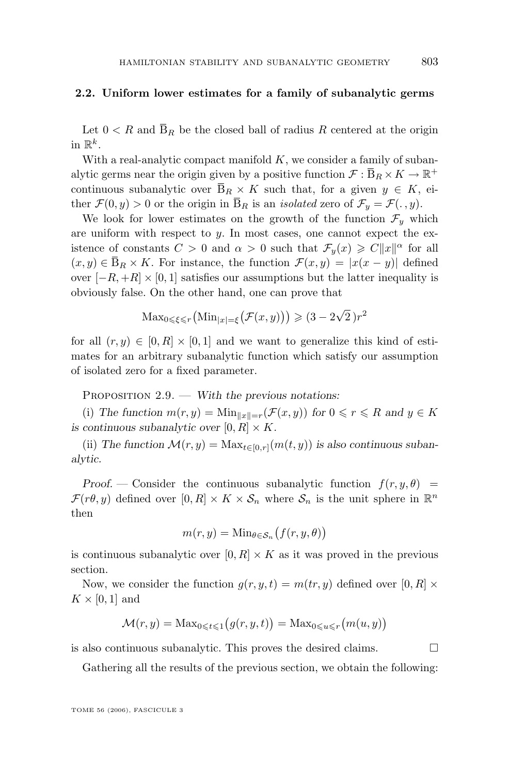#### <span id="page-9-0"></span>**2.2. Uniform lower estimates for a family of subanalytic germs**

Let  $0 < R$  and  $\overline{B}_R$  be the closed ball of radius R centered at the origin in  $\mathbb{R}^k$ .

With a real-analytic compact manifold  $K$ , we consider a family of subanalytic germs near the origin given by a positive function  $\mathcal{F} : \overline{B}_R \times K \to \mathbb{R}^+$ continuous subanalytic over  $\overline{B}_R \times K$  such that, for a given  $y \in K$ , either  $\mathcal{F}(0, y) > 0$  or the origin in  $\overline{B}_R$  is an *isolated* zero of  $\mathcal{F}_y = \mathcal{F}(\cdot, y)$ .

We look for lower estimates on the growth of the function  $\mathcal{F}_y$  which are uniform with respect to  $y$ . In most cases, one cannot expect the existence of constants  $C > 0$  and  $\alpha > 0$  such that  $\mathcal{F}_y(x) \geq C||x||^{\alpha}$  for all  $(x, y) \in \overline{B}_R \times K$ . For instance, the function  $\mathcal{F}(x, y) = |x(x - y)|$  defined over  $[-R, +R] \times [0, 1]$  satisfies our assumptions but the latter inequality is obviously false. On the other hand, one can prove that

$$
\operatorname{Max}_{0 \leq \xi \leq r} \left( \operatorname{Min}_{|x| = \xi} \left( \mathcal{F}(x, y) \right) \right) \geq (3 - 2\sqrt{2})r^2
$$

for all  $(r, y) \in [0, R] \times [0, 1]$  and we want to generalize this kind of estimates for an arbitrary subanalytic function which satisfy our assumption of isolated zero for a fixed parameter.

PROPOSITION 2.9. — *With the previous notations:* 

(i) The function  $m(r, y) = \text{Min}_{\|x\|=r}(\mathcal{F}(x, y))$  for  $0 \leq r \leq R$  and  $y \in K$ *is continuous subanalytic over*  $[0, R] \times K$ .

(ii) The function  $\mathcal{M}(r, y) = \text{Max}_{t \in [0, r]}(m(t, y))$  is also continuous suban*alytic.*

*Proof.* — Consider the continuous subanalytic function  $f(r, y, \theta)$  =  $\mathcal{F}(r\theta, y)$  defined over  $[0, R] \times K \times \mathcal{S}_n$  where  $\mathcal{S}_n$  is the unit sphere in  $\mathbb{R}^n$ then

$$
m(r, y) = \mathrm{Min}_{\theta \in \mathcal{S}_n} \big( f(r, y, \theta) \big)
$$

is continuous subanalytic over  $[0, R] \times K$  as it was proved in the previous section.

Now, we consider the function  $g(r, y, t) = m(tr, y)$  defined over  $[0, R] \times$  $K \times [0,1]$  and

$$
\mathcal{M}(r, y) = \text{Max}_{0 \leq t \leq 1} (g(r, y, t)) = \text{Max}_{0 \leq u \leq r} (m(u, y))
$$

is also continuous subanalytic. This proves the desired claims.  $\Box$ 

Gathering all the results of the previous section, we obtain the following: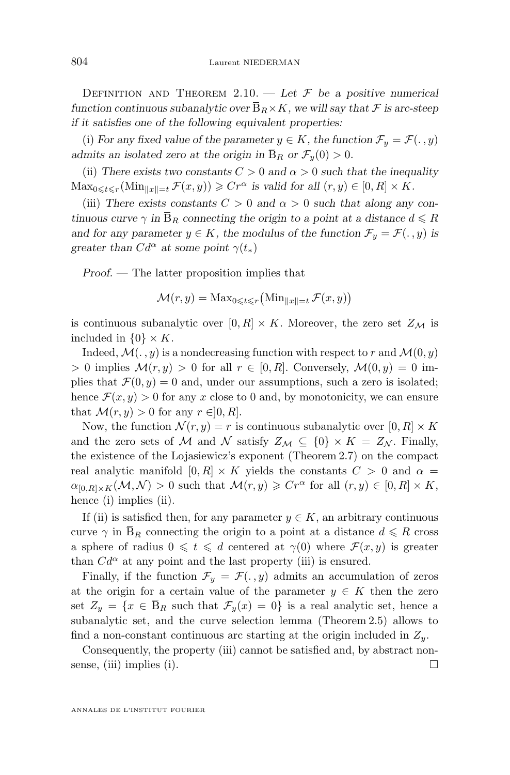DEFINITION AND THEOREM  $2.10.$  - Let  $\mathcal F$  be a positive numerical *function continuous subanalytic over*  $\bar{B}_R \times K$ *, we will say that*  $\mathcal F$  *is arc-steep if it satisfies one of the following equivalent properties:*

(i) For any fixed value of the parameter  $y \in K$ , the function  $\mathcal{F}_y = \mathcal{F}(\cdot, y)$ *admits an isolated zero at the origin in*  $\overline{B}_R$  *or*  $\mathcal{F}_y(0) > 0$ *.* 

(ii) There exists two constants  $C > 0$  and  $\alpha > 0$  such that the inequality  $\text{Max}_{0 \leqslant t \leqslant r}(\text{Min}_{\|x\|=t} \mathcal{F}(x, y)) \geqslant Cr^{\alpha}$  is valid for all  $(r, y) \in [0, R] \times K$ .

(iii) There exists constants  $C > 0$  and  $\alpha > 0$  such that along any con*tinuous curve*  $\gamma$  *in*  $\overline{B}_R$  *connecting the origin to a point at a distance*  $d \leq R$ *and for any parameter*  $y \in K$ *, the modulus of the function*  $\mathcal{F}_y = \mathcal{F}(\cdot, y)$  *is greater than*  $Cd^{\alpha}$  *at some point*  $\gamma(t_*)$ 

*Proof. —* The latter proposition implies that

$$
\mathcal{M}(r, y) = \text{Max}_{0 \leq t \leq r} \left( \text{Min}_{\|x\| = t} \, \mathcal{F}(x, y) \right)
$$

is continuous subanalytic over  $[0, R] \times K$ . Moreover, the zero set  $Z_M$  is included in  $\{0\} \times K$ .

Indeed,  $\mathcal{M}(\cdot, y)$  is a nondecreasing function with respect to r and  $\mathcal{M}(0, y)$  $> 0$  implies  $\mathcal{M}(r, y) > 0$  for all  $r \in [0, R]$ . Conversely,  $\mathcal{M}(0, y) = 0$  implies that  $\mathcal{F}(0, y) = 0$  and, under our assumptions, such a zero is isolated; hence  $\mathcal{F}(x, y) > 0$  for any x close to 0 and, by monotonicity, we can ensure that  $\mathcal{M}(r, y) > 0$  for any  $r \in ]0, R]$ .

Now, the function  $\mathcal{N}(r, y) = r$  is continuous subanalytic over  $[0, R] \times K$ and the zero sets of M and N satisfy  $Z_{\mathcal{M}} \subseteq \{0\} \times K = Z_{\mathcal{N}}$ . Finally, the existence of the Lojasiewicz's exponent (Theorem 2.7) on the compact real analytic manifold  $[0, R] \times K$  yields the constants  $C > 0$  and  $\alpha =$  $\alpha_{[0,R]\times K}(\mathcal{M}, \mathcal{N}) > 0$  such that  $\mathcal{M}(r, y) \geqslant Cr^{\alpha}$  for all  $(r, y) \in [0, R] \times K$ , hence (i) implies (ii).

If (ii) is satisfied then, for any parameter  $y \in K$ , an arbitrary continuous curve  $\gamma$  in  $\overline{B}_R$  connecting the origin to a point at a distance  $d \leq R$  cross a sphere of radius  $0 \leq t \leq d$  centered at  $\gamma(0)$  where  $\mathcal{F}(x, y)$  is greater than  $Cd^{\alpha}$  at any point and the last property (iii) is ensured.

Finally, if the function  $\mathcal{F}_y = \mathcal{F}(.,y)$  admits an accumulation of zeros at the origin for a certain value of the parameter  $y \in K$  then the zero set  $Z_y = \{x \in \overline{B}_R \text{ such that } \mathcal{F}_y(x) = 0\}$  is a real analytic set, hence a subanalytic set, and the curve selection lemma (Theorem [2.5\)](#page-7-0) allows to find a non-constant continuous arc starting at the origin included in  $Z_y$ .

Consequently, the property (iii) cannot be satisfied and, by abstract nonsense, (iii) implies (i).  $\Box$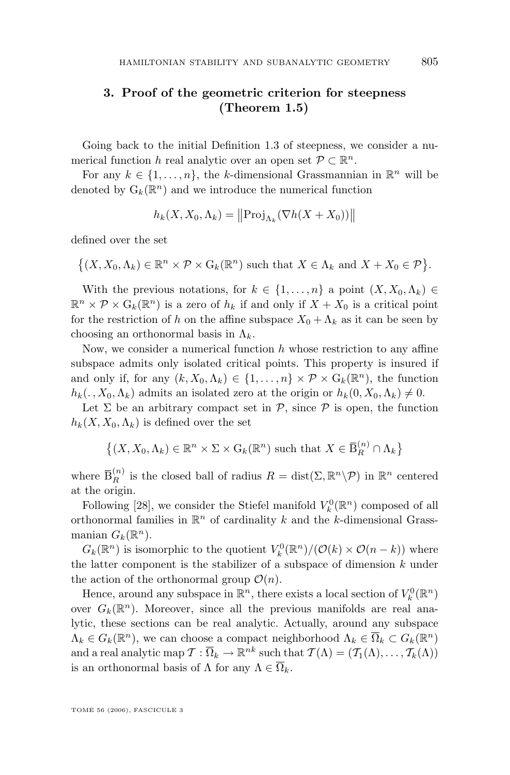#### <span id="page-11-0"></span>**3. Proof of the geometric criterion for steepness (Theorem [1.5\)](#page-4-0)**

Going back to the initial Definition [1.3](#page-2-0) of steepness, we consider a numerical function h real analytic over an open set  $P \subset \mathbb{R}^n$ .

For any  $k \in \{1, ..., n\}$ , the k-dimensional Grassmannian in  $\mathbb{R}^n$  will be denoted by  $\mathcal{G}_k(\mathbb{R}^n)$  and we introduce the numerical function

$$
h_k(X, X_0, \Lambda_k) = ||\text{Proj}_{\Lambda_k}(\nabla h(X + X_0))||
$$

defined over the set

 $\{(X, X_0, \Lambda_k) \in \mathbb{R}^n \times \mathcal{P} \times \mathcal{G}_k(\mathbb{R}^n) \text{ such that } X \in \Lambda_k \text{ and } X + X_0 \in \mathcal{P}\}.$ 

With the previous notations, for  $k \in \{1, \ldots, n\}$  a point  $(X, X_0, \Lambda_k) \in$  $\mathbb{R}^n \times \mathcal{P} \times \mathcal{G}_k(\mathbb{R}^n)$  is a zero of  $h_k$  if and only if  $X + X_0$  is a critical point for the restriction of h on the affine subspace  $X_0 + \Lambda_k$  as it can be seen by choosing an orthonormal basis in  $\Lambda_k$ .

Now, we consider a numerical function  $h$  whose restriction to any affine subspace admits only isolated critical points. This property is insured if and only if, for any  $(k, X_0, \Lambda_k) \in \{1, \ldots, n\} \times \mathcal{P} \times G_k(\mathbb{R}^n)$ , the function  $h_k(. , X_0, \Lambda_k)$  admits an isolated zero at the origin or  $h_k(0, X_0, \Lambda_k) \neq 0$ .

Let  $\Sigma$  be an arbitrary compact set in  $\mathcal{P}$ , since  $\mathcal{P}$  is open, the function  $h_k(X, X_0, \Lambda_k)$  is defined over the set

 $\{(X, X_0, \Lambda_k) \in \mathbb{R}^n \times \Sigma \times \mathrm{G}_k(\mathbb{R}^n) \text{ such that } X \in \overline{\mathrm{B}}_R^{(n)} \cap \Lambda_k\}$ 

where  $\bar{\mathbf{B}}_R^{(n)}$  is the closed ball of radius  $R = \text{dist}(\Sigma, \mathbb{R}^n \setminus \mathcal{P})$  in  $\mathbb{R}^n$  centered at the origin.

Following [\[28\]](#page-19-0), we consider the Stiefel manifold  $V_k^0(\mathbb{R}^n)$  composed of all orthonormal families in  $\mathbb{R}^n$  of cardinality k and the k-dimensional Grassmanian  $G_k(\mathbb{R}^n)$ .

 $G_k(\mathbb{R}^n)$  is isomorphic to the quotient  $V_k^0(\mathbb{R}^n)/(\mathcal{O}(k)\times \mathcal{O}(n-k))$  where the latter component is the stabilizer of a subspace of dimension  $k$  under the action of the orthonormal group  $\mathcal{O}(n)$ .

Hence, around any subspace in  $\mathbb{R}^n,$  there exists a local section of  $V^0_k(\mathbb{R}^n)$ over  $G_k(\mathbb{R}^n)$ . Moreover, since all the previous manifolds are real analytic, these sections can be real analytic. Actually, around any subspace  $\Lambda_k \in G_k(\mathbb{R}^n)$ , we can choose a compact neighborhood  $\Lambda_k \in \overline{\Omega}_k \subset G_k(\mathbb{R}^n)$ and a real analytic map  $\mathcal{T}: \overline{\Omega}_k \to \mathbb{R}^{nk}$  such that  $\mathcal{T}(\Lambda) = (\mathcal{T}_1(\Lambda), \ldots, \mathcal{T}_k(\Lambda))$ is an orthonormal basis of  $\Lambda$  for any  $\Lambda \in \Omega_k$ .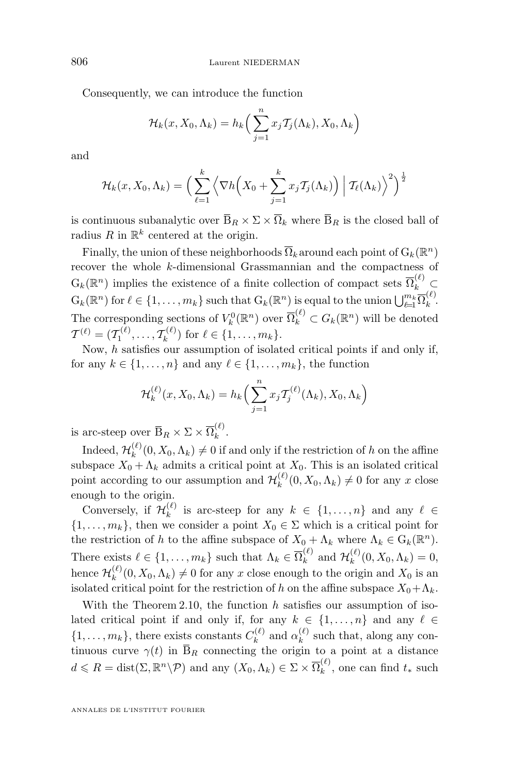Consequently, we can introduce the function

$$
\mathcal{H}_k(x, X_0, \Lambda_k) = h_k\Big(\sum_{j=1}^n x_j \mathcal{T}_j(\Lambda_k), X_0, \Lambda_k\Big)
$$

and

$$
\mathcal{H}_k(x, X_0, \Lambda_k) = \left(\sum_{\ell=1}^k \left\langle \nabla h\left(X_0 + \sum_{j=1}^k x_j \mathcal{T}_j(\Lambda_k)\right) \middle| \mathcal{T}_\ell(\Lambda_k)\right\rangle^2\right)^{\frac{1}{2}}
$$

is continuous subanalytic over  $\bar{\mathbf{B}}_R \times \Sigma \times \bar{\Omega}_k$  where  $\bar{\mathbf{B}}_R$  is the closed ball of radius R in  $\mathbb{R}^k$  centered at the origin.

Finally, the union of these neighborhoods  $\overline{\Omega}_k$  around each point of  $\mathrm{G}_k(\mathbb{R}^n)$ recover the whole k-dimensional Grassmannian and the compactness of  $G_k(\mathbb{R}^n)$  implies the existence of a finite collection of compact sets  $\overline{\Omega}_k^{(\ell)}$  $G_k(\mathbb{R}^n)$  for  $\ell \in \{1, \ldots, m_k\}$  such that  $G_k(\mathbb{R}^n)$  is equal to the union  $\bigcup_{\ell=1}^{m_k} \overline{\Omega}_k^{(\ell)}$  $\binom{1}{k}$ The corresponding sections of  $V_k^0(\mathbb{R}^n)$  over  $\overline{\Omega}_k^{(\ell)} \subset G_k(\mathbb{R}^n)$  will be denoted  ${\cal T}^{(\ell)} = ({\cal T}_1^{(\ell)}, \ldots, {\cal T}_k^{(\ell)} )$  $\mathcal{L}_{k}^{(\ell)}$  for  $\ell \in \{1, \ldots, m_k\}.$ 

Now,  $h$  satisfies our assumption of isolated critical points if and only if, for any  $k \in \{1, \ldots, n\}$  and any  $\ell \in \{1, \ldots, m_k\}$ , the function

$$
\mathcal{H}_k^{(\ell)}(x, X_0, \Lambda_k) = h_k\Big(\sum_{j=1}^n x_j \mathcal{T}_j^{(\ell)}(\Lambda_k), X_0, \Lambda_k\Big)
$$

is arc-steep over  $\overline{\mathbf{B}}_R \times \Sigma \times \overline{\Omega}_k^{(\ell)}$  $\binom{1}{k}$ .

Indeed,  $\mathcal{H}_k^{(\ell)}$  $\binom{k}{k}(0, X_0, \Lambda_k) \neq 0$  if and only if the restriction of h on the affine subspace  $X_0 + \Lambda_k$  admits a critical point at  $X_0$ . This is an isolated critical point according to our assumption and  $\mathcal{H}_k^{(\ell)}$  $_{k}^{(e)}(0, X_0, \Lambda_k) \neq 0$  for any x close enough to the origin.

Conversely, if  $\mathcal{H}_k^{(\ell)}$  $\mathcal{L}_{k}^{(\ell)}$  is arc-steep for any  $k \in \{1, \ldots, n\}$  and any  $\ell \in$  $\{1, \ldots, m_k\}$ , then we consider a point  $X_0 \in \Sigma$  which is a critical point for the restriction of h to the affine subspace of  $X_0 + \Lambda_k$  where  $\Lambda_k \in G_k(\mathbb{R}^n)$ . There exists  $\ell \in \{1, \ldots, m_k\}$  such that  $\Lambda_k \in \overline{\Omega}_k^{(\ell)}$  and  $\mathcal{H}_k^{(\ell)}$  $\binom{k}{k}(0, X_0, \Lambda_k) = 0,$ hence  $\mathcal{H}_k^{(\ell)}$  $k_k^{(\ell)}(0, X_0, \Lambda_k) \neq 0$  for any x close enough to the origin and  $X_0$  is an isolated critical point for the restriction of h on the affine subspace  $X_0 + \Lambda_k$ .

With the Theorem [2.10,](#page-9-0) the function  $h$  satisfies our assumption of isolated critical point if and only if, for any  $k \in \{1, ..., n\}$  and any  $\ell \in$  $\{1, \ldots, m_k\}$ , there exists constants  $C_k^{(\ell)}$  $\alpha_k^{(\ell)}$  and  $\alpha_k^{(\ell)}$  $\binom{k}{k}$  such that, along any continuous curve  $\gamma(t)$  in  $\overline{B}_R$  connecting the origin to a point at a distance  $d \leqslant R = \text{dist}(\Sigma, \mathbb{R}^n \backslash \mathcal{P})$  and any  $(X_0, \Lambda_k) \in \Sigma \times \overline{\Omega}_k^{(\ell)}$  $\kappa^{(0)}$ , one can find  $t_*$  such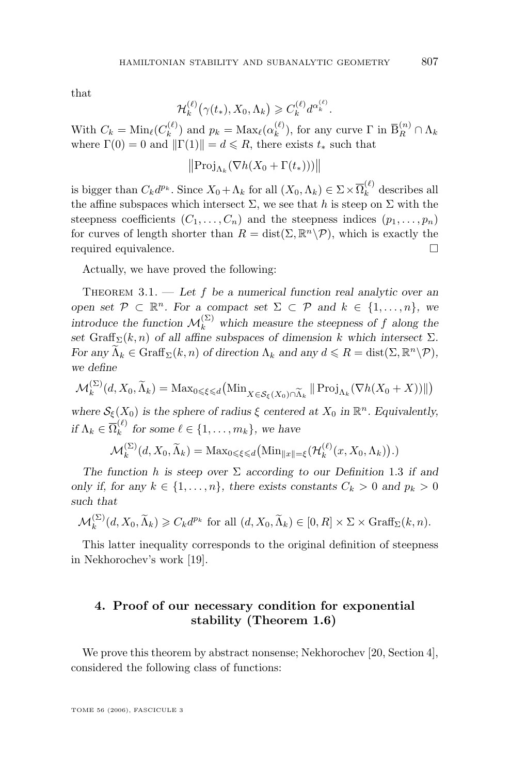<span id="page-13-0"></span>that

$$
\mathcal{H}_k^{(\ell)}\big(\gamma(t_*), X_0, \Lambda_k\big) \geqslant C_k^{(\ell)} d^{\alpha_k^{(\ell)}}.
$$

With  $C_k = \text{Min}_{\ell}(C_k^{(\ell)})$  $h_k^{(\ell)}$  and  $p_k = \text{Max}_{\ell}(\alpha_k^{(\ell)})$  $\mathcal{L}_{k}^{(\ell)}$ ), for any curve  $\Gamma$  in  $\overline{\mathrm{B}}_{R}^{(n)} \cap \Lambda_{k}$ where  $\Gamma(0) = 0$  and  $\|\Gamma(1)\| = d \le R$ , there exists  $t_*$  such that

$$
\left\|\operatorname{Proj}_{\Lambda_k}(\nabla h(X_0 + \Gamma(t_*)))\right\|
$$

is bigger than  $C_k d^{p_k}$ . Since  $X_0 + \Lambda_k$  for all  $(X_0, \Lambda_k) \in \Sigma \times \overline{\Omega}_k^{(\ell)}$  describes all the affine subspaces which intersect  $\Sigma$ , we see that h is steep on  $\Sigma$  with the steepness coefficients  $(C_1, \ldots, C_n)$  and the steepness indices  $(p_1, \ldots, p_n)$ for curves of length shorter than  $R = \text{dist}(\Sigma, \mathbb{R}^n \backslash \mathcal{P})$ , which is exactly the required equivalence.

Actually, we have proved the following:

THEOREM 3.1. — Let f be a numerical function real analytic over an *open set*  $P \subset \mathbb{R}^n$ *. For a compact set*  $\Sigma \subset P$  *and*  $k \in \{1, ..., n\}$ *, we introduce the function*  $\mathcal{M}_k^{(\Sigma)}$  which measure the steepness of f along the set Graff<sub>Σ</sub> $(k, n)$  of all affine subspaces of dimension k which intersect Σ*. For any*  $\widetilde{\Lambda}_k \in \text{Graff}_{\Sigma}(k, n)$  *of direction*  $\Lambda_k$  *and any*  $d \leq R = \text{dist}(\Sigma, \mathbb{R}^n \setminus \mathcal{P})$ *, we define*

$$
\mathcal{M}_k^{(\Sigma)}(d, X_0, \widetilde{\Lambda}_k) = \text{Max}_{0 \leq \xi \leq d} \big( \text{Min}_{X \in \mathcal{S}_{\xi}(X_0) \cap \widetilde{\Lambda}_k} \left\| \text{Proj}_{\Lambda_k} (\nabla h(X_0 + X)) \right\| \big)
$$

where  $\mathcal{S}_{\xi}(X_0)$  *is the sphere of radius*  $\xi$  *centered at*  $X_0$  *in*  $\mathbb{R}^n$ *. Equivalently, if*  $\Lambda_k \in \overline{\Omega}_k^{(\ell)}$  $\lambda_k^{(c)}$  for some  $\ell \in \{1, \ldots, m_k\}$ , we have

$$
\mathcal{M}_k^{(\Sigma)}(d, X_0, \widetilde{\Lambda}_k) = \mathrm{Max}_{0 \leq \xi \leq d} \big( \mathrm{Min}_{\|x\| = \xi} (\mathcal{H}_k^{(\ell)}(x, X_0, \Lambda_k) \big).
$$

*The function* h *is steep over* Σ *according to our Definition* 1.3 *if and only if, for any*  $k \in \{1, \ldots, n\}$ *, there exists constants*  $C_k > 0$  *and*  $p_k > 0$ *such that*

$$
\mathcal{M}_k^{(\Sigma)}(d, X_0, \widetilde{\Lambda}_k) \geqslant C_k d^{p_k} \text{ for all } (d, X_0, \widetilde{\Lambda}_k) \in [0, R] \times \Sigma \times \text{Graff}_{\Sigma}(k, n).
$$

This latter inequality corresponds to the original definition of steepness in Nekhorochev's work [\[19\]](#page-18-0).

#### **4. Proof of our necessary condition for exponential stability (Theorem [1.6\)](#page-4-0)**

We prove this theorem by abstract nonsense; Nekhorochev [\[20,](#page-18-0) Section 4], considered the following class of functions: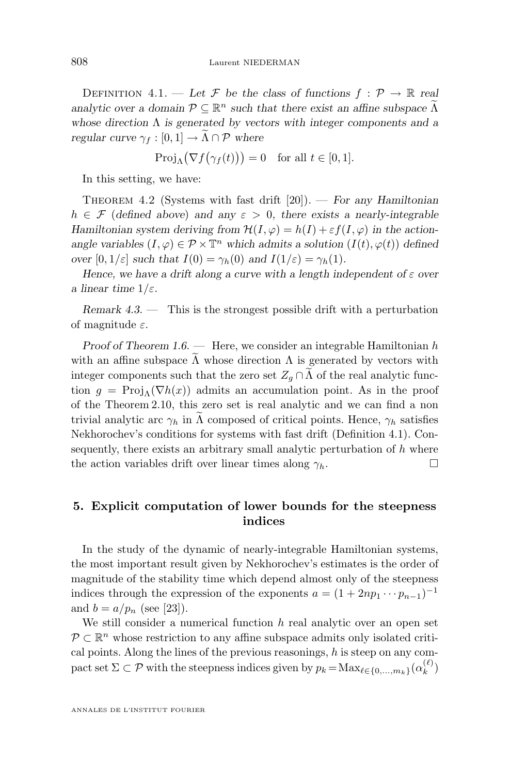<span id="page-14-0"></span>DEFINITION 4.1. — Let F be the class of functions  $f : \mathcal{P} \to \mathbb{R}$  real *analytic over a domain*  $P \subseteq \mathbb{R}^n$  *such that there exist an affine subspace*  $\widetilde{\Lambda}$ *whose direction* Λ *is generated by vectors with integer components and a regular curve*  $\gamma_f : [0, 1] \to \Lambda \cap \mathcal{P}$  *where* 

$$
\operatorname{Proj}_{\Lambda}(\nabla f(\gamma_f(t))) = 0 \quad \text{for all } t \in [0,1].
$$

In this setting, we have:

Theorem 4.2 (Systems with fast drift [20]). — *For any Hamiltonian*  $h \in \mathcal{F}$  (defined above) and any  $\varepsilon > 0$ , there exists a nearly-integrable *Hamiltonian system deriving from*  $\mathcal{H}(I, \varphi) = h(I) + \varepsilon f(I, \varphi)$  *in the actionangle variables*  $(I, \varphi) \in \mathcal{P} \times \mathbb{T}^n$  *which admits a solution*  $(I(t), \varphi(t))$  *defined over*  $[0, 1/\varepsilon]$  *such that*  $I(0) = \gamma_h(0)$  *and*  $I(1/\varepsilon) = \gamma_h(1)$ *.* 

*Hence, we have a drift along a curve with a length independent of*  $\varepsilon$  *over a linear time*  $1/\varepsilon$ *.* 

*Remark 4.3. —* This is the strongest possible drift with a perturbation of magnitude  $\varepsilon$ .

*Proof of Theorem [1.6.](#page-4-0)* — Here, we consider an integrable Hamiltonian h with an affine subspace  $\widetilde{\Lambda}$  whose direction  $\Lambda$  is generated by vectors with integer components such that the zero set  $Z_q \cap \tilde{\Lambda}$  of the real analytic function  $g = \text{Proj}_{\Lambda}(\nabla h(x))$  admits an accumulation point. As in the proof of the Theorem [2.10,](#page-9-0) this zero set is real analytic and we can find a non trivial analytic arc  $\gamma_h$  in  $\Lambda$  composed of critical points. Hence,  $\gamma_h$  satisfies Nekhorochev's conditions for systems with fast drift (Definition 4.1). Consequently, there exists an arbitrary small analytic perturbation of  $h$  where the action variables drift over linear times along  $\gamma_h$ .

#### **5. Explicit computation of lower bounds for the steepness indices**

In the study of the dynamic of nearly-integrable Hamiltonian systems, the most important result given by Nekhorochev's estimates is the order of magnitude of the stability time which depend almost only of the steepness indices through the expression of the exponents  $a = (1 + 2np_1 \cdots p_{n-1})^{-1}$ and  $b = a/p_n$  (see [\[23\]](#page-19-0)).

We still consider a numerical function  $h$  real analytic over an open set  $\mathcal{P} \subset \mathbb{R}^n$  whose restriction to any affine subspace admits only isolated critical points. Along the lines of the previous reasonings,  $h$  is steep on any compact set  $\Sigma \subset \mathcal{P}$  with the steepness indices given by  $p_k = \text{Max}_{\ell \in \{0,\ldots,m_k\}}(\alpha_k^{(\ell)})$  $\binom{k}{k}$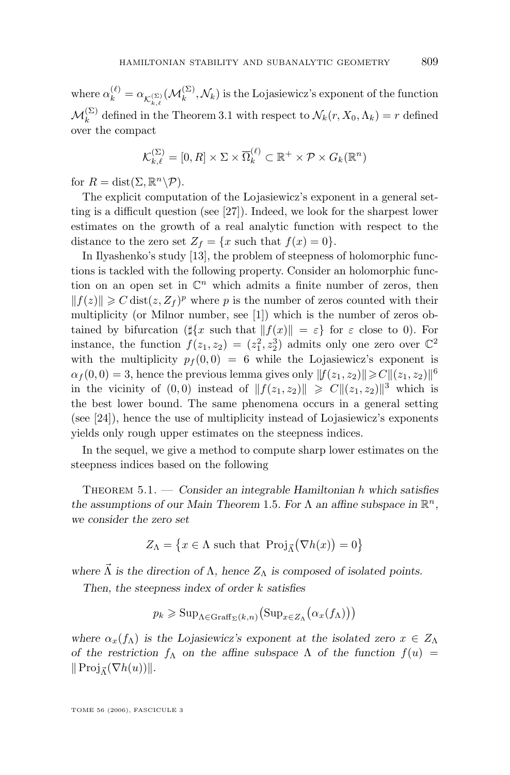<span id="page-15-0"></span>where  $\alpha_k^{(\ell)} = \alpha_{\mathcal{K}_{k,\ell}^{(\Sigma)}}(\mathcal{M}_k^{(\Sigma)}, \mathcal{N}_k)$  is the Lojasiewicz's exponent of the function  $\mathcal{M}_k^{(\Sigma)}$  defined in the Theorem [3.1](#page-13-0) with respect to  $\mathcal{N}_k(r, X_0, \Lambda_k) = r$  defined over the compact

$$
\mathcal{K}_{k,\ell}^{(\Sigma)} = [0,R] \times \Sigma \times \overline{\Omega}_{k}^{(\ell)} \subset \mathbb{R}^+ \times \mathcal{P} \times G_k(\mathbb{R}^n)
$$

for  $R = \text{dist}(\Sigma, \mathbb{R}^n \backslash \mathcal{P}).$ 

The explicit computation of the Lojasiewicz's exponent in a general setting is a difficult question (see [\[27\]](#page-19-0)). Indeed, we look for the sharpest lower estimates on the growth of a real analytic function with respect to the distance to the zero set  $Z_f = \{x \text{ such that } f(x) = 0\}.$ 

In Ilyashenko's study [\[13\]](#page-18-0), the problem of steepness of holomorphic functions is tackled with the following property. Consider an holomorphic function on an open set in  $\mathbb{C}^n$  which admits a finite number of zeros, then  $||f(z)|| \geq C \text{dist}(z, Z_f)^p$  where p is the number of zeros counted with their multiplicity (or Milnor number, see [\[1\]](#page-18-0)) which is the number of zeros obtained by bifurcation ( $\|\{x \text{ such that } \|f(x)\| = \varepsilon\}$  for  $\varepsilon$  close to 0). For instance, the function  $f(z_1, z_2) = (z_1^2, z_2^3)$  admits only one zero over  $\mathbb{C}^2$ with the multiplicity  $p_f(0,0) = 6$  while the Lojasiewicz's exponent is  $\alpha_f(0,0) = 3$ , hence the previous lemma gives only  $||f(z_1, z_2)|| \geq C ||(z_1, z_2)||^6$ in the vicinity of  $(0,0)$  instead of  $||f(z_1, z_2)|| \geq C ||(z_1, z_2)||^3$  which is the best lower bound. The same phenomena occurs in a general setting (see [\[24\]](#page-19-0)), hence the use of multiplicity instead of Lojasiewicz's exponents yields only rough upper estimates on the steepness indices.

In the sequel, we give a method to compute sharp lower estimates on the steepness indices based on the following

Theorem 5.1. — *Consider an integrable Hamiltonian* h *which satisfies the assumptions of our Main Theorem [1](#page-4-0).5. For*  $\Lambda$  *an affine subspace in*  $\mathbb{R}^n$ *, we consider the zero set*

$$
Z_{\Lambda} = \left\{ x \in \Lambda \text{ such that } \text{Proj}_{\bar{\Lambda}}(\nabla h(x)) = 0 \right\}
$$

where  $\vec{\Lambda}$  *is the direction of*  $\Lambda$ *, hence*  $Z_{\Lambda}$  *is composed of isolated points.* 

*Then, the steepness index of order* k *satisfies*

$$
p_k \geqslant \mathrm{Sup}_{\Lambda \in \mathrm{Graff}_{\Sigma}(k,n)} \big( \mathrm{Sup}_{x \in Z_{\Lambda}} (\alpha_x(f_{\Lambda})) \big)
$$

*where*  $\alpha_x(f_\Lambda)$  *is the Lojasiewicz's exponent at the isolated zero*  $x \in Z_\Lambda$ *of the restriction*  $f_{\Lambda}$  *on the affine subspace*  $\Lambda$  *of the function*  $f(u)$  =  $\|\operatorname{Proj}_{\vec{\Lambda}}(\nabla h(u))\|.$ 

TOME 56 (2006), FASCICULE 3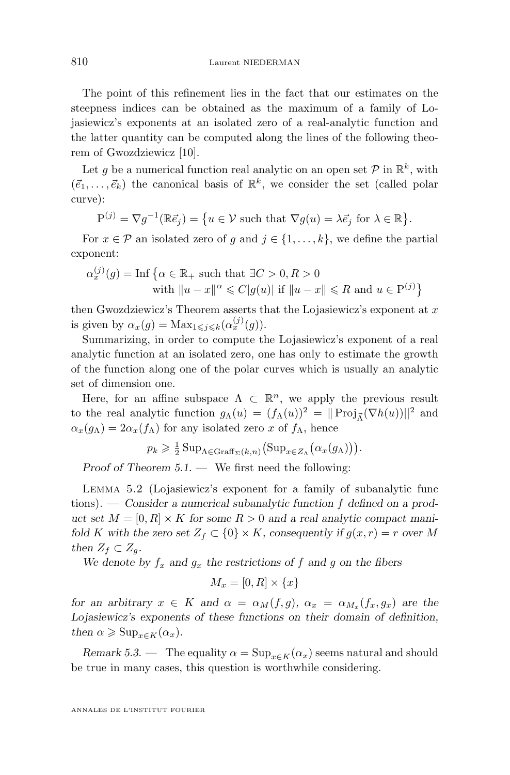The point of this refinement lies in the fact that our estimates on the steepness indices can be obtained as the maximum of a family of Lojasiewicz's exponents at an isolated zero of a real-analytic function and the latter quantity can be computed along the lines of the following theorem of Gwozdziewicz [\[10\]](#page-18-0).

Let g be a numerical function real analytic on an open set  $P$  in  $\mathbb{R}^k$ , with  $(\vec{e}_1, \ldots, \vec{e}_k)$  the canonical basis of  $\mathbb{R}^k$ , we consider the set (called polar curve):

$$
P^{(j)} = \nabla g^{-1}(\mathbb{R}\vec{e}_j) = \{ u \in \mathcal{V} \text{ such that } \nabla g(u) = \lambda \vec{e}_j \text{ for } \lambda \in \mathbb{R} \}.
$$

For  $x \in \mathcal{P}$  an isolated zero of g and  $j \in \{1, ..., k\}$ , we define the partial exponent:

$$
\alpha_x^{(j)}(g) = \text{Inf}\left\{\alpha \in \mathbb{R}_+ \text{ such that } \exists C > 0, R > 0
$$
  
with  $||u - x||^{\alpha} \leq C|g(u)|$  if  $||u - x|| \leq R$  and  $u \in P^{(j)}\right\}$ 

then Gwozdziewicz's Theorem asserts that the Lojasiewicz's exponent at  $x$ is given by  $\alpha_x(g) = \text{Max}_{1 \leq j \leq k}(\alpha_x^{(j)}(g)).$ 

Summarizing, in order to compute the Lojasiewicz's exponent of a real analytic function at an isolated zero, one has only to estimate the growth of the function along one of the polar curves which is usually an analytic set of dimension one.

Here, for an affine subspace  $\Lambda \subset \mathbb{R}^n$ , we apply the previous result to the real analytic function  $g_{\Lambda}(u) = (f_{\Lambda}(u))^2 = ||\operatorname{Proj}_{\vec{\Lambda}}(\nabla h(u))||^2$  and  $\alpha_x(g_\Lambda) = 2\alpha_x(f_\Lambda)$  for any isolated zero x of  $f_\Lambda$ , hence

$$
p_k \geq \frac{1}{2} \operatorname{Sup}_{\Lambda \in \operatorname{Graff}_{\Sigma}(k,n)} \left( \operatorname{Sup}_{x \in Z_{\Lambda}} (\alpha_x(g_{\Lambda})) \right).
$$

*Proof of Theorem [5.1.](#page-15-0) —* We first need the following:

Lemma 5.2 (Lojasiewicz's exponent for a family of subanalytic func tions). — *Consider a numerical subanalytic function* f *defined on a product set*  $M = [0, R] \times K$  *for some*  $R > 0$  *and a real analytic compact manifold* K with the zero set  $Z_f \subset \{0\} \times K$ , consequently if  $g(x, r) = r$  over M *then*  $Z_f \subset Z_q$ *.* 

We denote by  $f_x$  and  $g_x$  the restrictions of f and g on the fibers

$$
M_x = [0, R] \times \{x\}
$$

*for an arbitrary*  $x \in K$  *and*  $\alpha = \alpha_M(f, g)$ ,  $\alpha_x = \alpha_{M_x}(f_x, g_x)$  *are the Lojasiewicz's exponents of these functions on their domain of definition, then*  $\alpha \geqslant \text{Sup}_{x \in K}(\alpha_x)$ .

*Remark 5.3.* — The equality  $\alpha = \text{Sup}_{x \in K}(\alpha_x)$  seems natural and should be true in many cases, this question is worthwhile considering.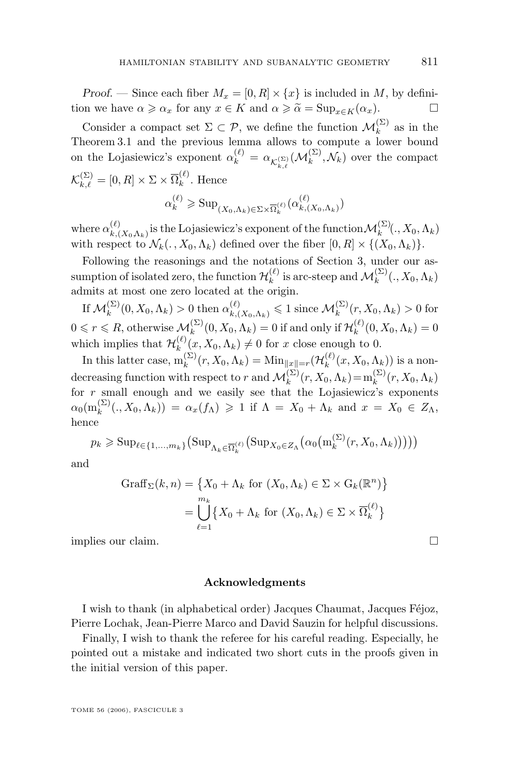*Proof.* — Since each fiber  $M_x = [0, R] \times \{x\}$  is included in M, by definition we have  $\alpha \geq \alpha_x$  for any  $x \in K$  and  $\alpha \geq \tilde{\alpha} = \text{Sup}_{x \in K}(\alpha_x)$ .

Consider a compact set  $\Sigma \subset \mathcal{P}$ , we define the function  $\mathcal{M}_k^{(\Sigma)}$  as in the Theorem 3.1 and the previous lemma allows to compute a lower bound on the Lojasiewicz's exponent  $\alpha_k^{(\ell)} = \alpha_{\mathcal{K}_{k,\ell}^{(\Sigma)}}(\mathcal{M}_k^{(\Sigma)}, \mathcal{N}_k)$  over the compact  $\mathcal{K}_{k,\ell}^{(\Sigma)} = [0,R] \times \Sigma \times \overline{\Omega}_{k}^{(\ell)}$  $k^{\sim}$ . Hence

$$
\alpha_k^{(\ell)} \geqslant \mathrm{Sup}_{(X_0,\Lambda_k) \in \Sigma \times \overline{\Omega}_k^{(\ell)}}(\alpha_{k,(X_0,\Lambda_k)}^{(\ell)})
$$

where  $\alpha_{k,0}^{(\ell)}$  $\chi_{k,(X_0,\Lambda_k)}^{(\ell)}$  is the Lojasiewicz's exponent of the function  $\mathcal{M}_k^{(\Sigma)}(., X_0, \Lambda_k)$ with respect to  $\mathcal{N}_k(., X_0, \Lambda_k)$  defined over the fiber  $[0, R] \times \{(X_0, \Lambda_k)\}.$ 

Following the reasonings and the notations of Section [3,](#page-11-0) under our assumption of isolated zero, the function  $\mathcal{H}_k^{(\ell)}$  $\mathcal{M}_k^{(\ell)}$  is arc-steep and  $\mathcal{M}_k^{(\Sigma)}(., X_0, \Lambda_k)$ admits at most one zero located at the origin.

If  $\mathcal{M}_k^{(\Sigma)}(0, X_0, \Lambda_k) > 0$  then  $\alpha_{k,(X_0,\Lambda_k)}^{(\ell)} \leq 1$  since  $\mathcal{M}_k^{(\Sigma)}(r, X_0, \Lambda_k) > 0$  for  $0 \leqslant r \leqslant R$ , otherwise  $\mathcal{M}_k^{(\Sigma)}(0, X_0, \Lambda_k) = 0$  if and only if  $\mathcal{H}_k^{(\ell)}$  $\binom{k}{k}(0, X_0, \Lambda_k) = 0$ which implies that  $\mathcal{H}_k^{(\ell)}$  $\chi_k^{(k)}(x, X_0, \Lambda_k) \neq 0$  for x close enough to 0.

In this latter case,  $m_k^{(\Sigma)}(r, X_0, \Lambda_k) = \text{Min}_{\|x\|=r}(\mathcal{H}_k^{(\ell)})$  $k^{(\ell)}(x,X_0,\Lambda_k)$ ) is a nondecreasing function with respect to r and  $\mathcal{M}_k^{(\Sigma)}(r, X_0, \Lambda_k) = m_k^{(\Sigma)}$  $\binom{(\mathcal{Z})}{k}(r, X_0, \Lambda_k)$ for  $r$  small enough and we easily see that the Lojasiewicz's exponents  $\alpha_0(\text{m}^{(\Sigma)}_k$ k (., X0,Λk)) = αx(fΛ) > 1 if Λ = X<sup>0</sup> + Λ<sup>k</sup> and x = X<sup>0</sup> ∈ ZΛ, hence

$$
p_k \geqslant \mathrm{Sup}_{\ell \in \{1,\ldots,m_k\}} \big( \mathrm{Sup}_{\Lambda_k \in \overline{\Omega}_k^{(\ell)}} \big( \mathrm{Sup}_{X_0 \in Z_{\Lambda}} \big( \alpha_0 \big( m_k^{(\Sigma)}(r, X_0, \Lambda_k) \big) \big) \big) \big)
$$

and

$$
Graff_{\Sigma}(k, n) = \{X_0 + \Lambda_k \text{ for } (X_0, \Lambda_k) \in \Sigma \times G_k(\mathbb{R}^n)\}
$$

$$
= \bigcup_{\ell=1}^{m_k} \{X_0 + \Lambda_k \text{ for } (X_0, \Lambda_k) \in \Sigma \times \overline{\Omega}_k^{(\ell)}\}
$$

implies our claim.

#### **Acknowledgments**

I wish to thank (in alphabetical order) Jacques Chaumat, Jacques Féjoz, Pierre Lochak, Jean-Pierre Marco and David Sauzin for helpful discussions.

Finally, I wish to thank the referee for his careful reading. Especially, he pointed out a mistake and indicated two short cuts in the proofs given in the initial version of this paper.

TOME 56 (2006), FASCICULE 3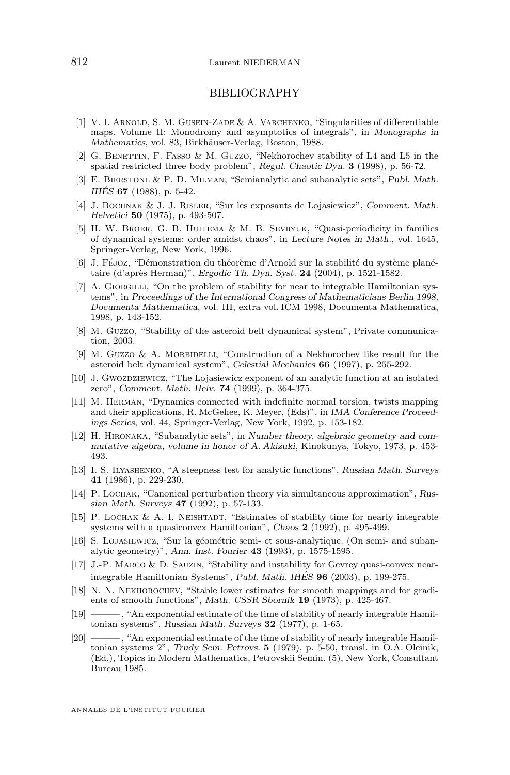#### BIBLIOGRAPHY

- <span id="page-18-0"></span>[1] V. I. ARNOLD, S. M. GUSEIN-ZADE & A. VARCHENKO, "Singularities of differentiable maps. Volume II: Monodromy and asymptotics of integrals", in *Monographs in Mathematics*, vol. 83, Birkhäuser-Verlag, Boston, 1988.
- [2] G. BENETTIN, F. FASSO & M. GUZZO, "Nekhorochev stability of L4 and L5 in the spatial restricted three body problem", *Regul. Chaotic Dyn.* **3** (1998), p. 56-72.
- [3] E. Bierstone & P. D. Milman, "Semianalytic and subanalytic sets", *Publ. Math. IHÉS* **67** (1988), p. 5-42.
- [4] J. Bochnak & J. J. Risler, "Sur les exposants de Lojasiewicz", *Comment. Math. Helvetici* **50** (1975), p. 493-507.
- [5] H. W. BROER, G. B. HUITEMA & M. B. SEVRYUK, "Quasi-periodicity in families of dynamical systems: order amidst chaos", in *Lecture Notes in Math.*, vol. 1645, Springer-Verlag, New York, 1996.
- [6] J. Féjoz, "Démonstration du théorème d'Arnold sur la stabilité du système planétaire (d'après Herman)", *Ergodic Th. Dyn. Syst.* **24** (2004), p. 1521-1582.
- [7] A. GIORGILLI, "On the problem of stability for near to integrable Hamiltonian systems", in *Proceedings of the International Congress of Mathematicians Berlin 1998, Documenta Mathematica*, vol. III, extra vol. ICM 1998, Documenta Mathematica, 1998, p. 143-152.
- [8] M. Guzzo, "Stability of the asteroid belt dynamical system", Private communication, 2003.
- [9] M. GUZZO & A. MORBIDELLI, "Construction of a Nekhorochev like result for the asteroid belt dynamical system", *Celestial Mechanics* **66** (1997), p. 255-292.
- [10] J. Gwozdziewicz, "The Lojasiewicz exponent of an analytic function at an isolated zero", *Comment. Math. Helv.* **74** (1999), p. 364-375.
- [11] M. Herman, "Dynamics connected with indefinite normal torsion, twists mapping and their applications, R. McGehee, K. Meyer, (Eds)", in *IMA Conference Proceedings Series*, vol. 44, Springer-Verlag, New York, 1992, p. 153-182.
- [12] H. Hironaka, "Subanalytic sets", in *Number theory, algebraic geometry and commutative algebra, volume in honor of A. Akizuki*, Kinokunya, Tokyo, 1973, p. 453- 493.
- [13] I. S. Ilyashenko, "A steepness test for analytic functions", *Russian Math. Surveys* **41** (1986), p. 229-230.
- [14] P. Lochak, "Canonical perturbation theory via simultaneous approximation", *Russian Math. Surveys* **47** (1992), p. 57-133.
- [15] P. LOCHAK & A. I. NEISHTADT, "Estimates of stability time for nearly integrable systems with a quasiconvex Hamiltonian", *Chaos* **2** (1992), p. 495-499.
- [16] S. Lojasiewicz, "Sur la géométrie semi- et sous-analytique. (On semi- and subanalytic geometry)", *Ann. Inst. Fourier* **43** (1993), p. 1575-1595.
- [17] J.-P. Marco & D. Sauzin, "Stability and instability for Gevrey quasi-convex nearintegrable Hamiltonian Systems", *Publ. Math. IHÉS* **96** (2003), p. 199-275.
- [18] N. N. Nekhorochev, "Stable lower estimates for smooth mappings and for gradients of smooth functions", *Math. USSR Sbornik* **19** (1973), p. 425-467.
- [19] ——— , "An exponential estimate of the time of stability of nearly integrable Hamiltonian systems", *Russian Math. Surveys* **32** (1977), p. 1-65.
- [20] ——— , "An exponential estimate of the time of stability of nearly integrable Hamiltonian systems 2", *Trudy Sem. Petrovs.* **5** (1979), p. 5-50, transl. in O.A. Oleinik, (Ed.), Topics in Modern Mathematics, Petrovskii Semin. (5), New York, Consultant Bureau 1985.